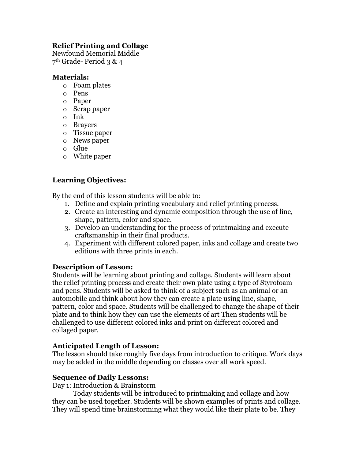## **Relief Printing and Collage**

Newfound Memorial Middle 7th Grade- Period 3 & 4

#### **Materials:**

- o Foam plates
- o Pens
- o Paper
- o Scrap paper
- o Ink
- o Brayers
- o Tissue paper
- o News paper
- o Glue
- o White paper

### **Learning Objectives:**

By the end of this lesson students will be able to:

- 1. Define and explain printing vocabulary and relief printing process.
- 2. Create an interesting and dynamic composition through the use of line, shape, pattern, color and space.
- 3. Develop an understanding for the process of printmaking and execute craftsmanship in their final products.
- 4. Experiment with different colored paper, inks and collage and create two editions with three prints in each.

#### **Description of Lesson:**

Students will be learning about printing and collage. Students will learn about the relief printing process and create their own plate using a type of Styrofoam and pens. Students will be asked to think of a subject such as an animal or an automobile and think about how they can create a plate using line, shape, pattern, color and space. Students will be challenged to change the shape of their plate and to think how they can use the elements of art Then students will be challenged to use different colored inks and print on different colored and collaged paper.

#### **Anticipated Length of Lesson:**

The lesson should take roughly five days from introduction to critique. Work days may be added in the middle depending on classes over all work speed.

#### **Sequence of Daily Lessons:**

Day 1: Introduction & Brainstorm

Today students will be introduced to printmaking and collage and how they can be used together. Students will be shown examples of prints and collage. They will spend time brainstorming what they would like their plate to be. They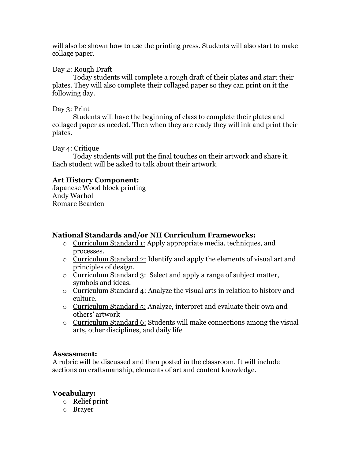will also be shown how to use the printing press. Students will also start to make collage paper.

Day 2: Rough Draft

Today students will complete a rough draft of their plates and start their plates. They will also complete their collaged paper so they can print on it the following day.

Day 3: Print

Students will have the beginning of class to complete their plates and collaged paper as needed. Then when they are ready they will ink and print their plates.

Day 4: Critique

Today students will put the final touches on their artwork and share it. Each student will be asked to talk about their artwork.

#### **Art History Component:**

Japanese Wood block printing Andy Warhol Romare Bearden

## **National Standards and/or NH Curriculum Frameworks:**

- o Curriculum Standard 1: Apply appropriate media, techniques, and processes.
- o Curriculum Standard 2: Identify and apply the elements of visual art and principles of design.
- o Curriculum Standard 3: Select and apply a range of subject matter, symbols and ideas.
- o Curriculum Standard 4: Analyze the visual arts in relation to history and culture.
- o Curriculum Standard 5: Analyze, interpret and evaluate their own and others' artwork
- o Curriculum Standard 6: Students will make connections among the visual arts, other disciplines, and daily life

#### **Assessment:**

A rubric will be discussed and then posted in the classroom. It will include sections on craftsmanship, elements of art and content knowledge.

#### **Vocabulary:**

- o Relief print
- o Brayer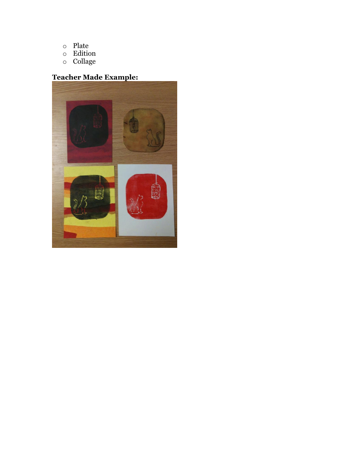- o Plate
- o Edition
- o Collage

# **Teacher Made Example:**

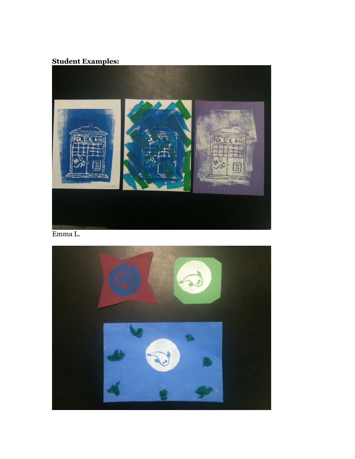# **Student Examples:**



Emma L.